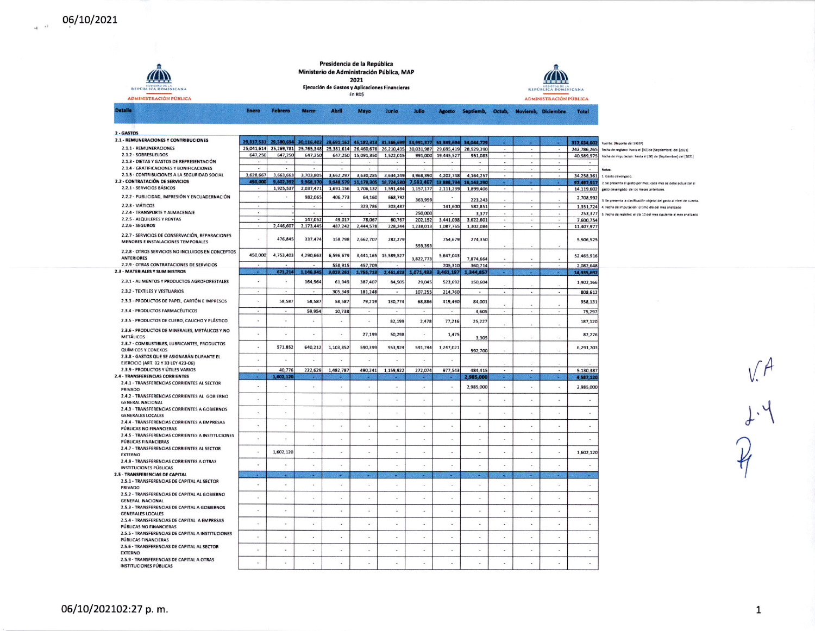$\frac{1}{2}$  -  $\frac{1}{2}$ 

| <b>REPÚBLICA DOMINICANA</b><br><b>ADMINISTRACIÓN PÚBLICA</b>                                 | Presidencia de la República<br>Ministerio de Administración Pública, MAP<br>2021<br>Ejecución de Gastos y Aplicaciones Financieras<br>En RD\$ |                          |                          |                          |                             |                          |                          |                          |                                     |                          |                          | <b>REPÚBLICA DOMINICANA</b><br><b>ADMINISTRACIÓN PÚBLICA</b> |                          |                                                                       |
|----------------------------------------------------------------------------------------------|-----------------------------------------------------------------------------------------------------------------------------------------------|--------------------------|--------------------------|--------------------------|-----------------------------|--------------------------|--------------------------|--------------------------|-------------------------------------|--------------------------|--------------------------|--------------------------------------------------------------|--------------------------|-----------------------------------------------------------------------|
| <b>Detaile</b>                                                                               | Enero                                                                                                                                         | Febrero                  | Marzo                    | <b>Abril</b>             | Mayo                        | Junio                    | Julio                    | <b>Agosto</b>            | Septiemb, Octub, Noviemb, Diciembre |                          |                          |                                                              | <b>Total</b>             |                                                                       |
|                                                                                              |                                                                                                                                               |                          |                          |                          |                             |                          |                          |                          |                                     |                          |                          |                                                              |                          |                                                                       |
| 2 - GASTOS                                                                                   |                                                                                                                                               |                          |                          |                          |                             |                          |                          |                          |                                     |                          |                          |                                                              |                          |                                                                       |
| 2.1 - REMUNERACIONES Y CONTRIBUCIONES                                                        | 29,317,531                                                                                                                                    | 29,580,694               | 30,116,402               |                          | 29,691,162 45,182,313       | 31,366,699               | 34,991,377               | 53.343.694               | 34,044,729                          |                          |                          |                                                              | 317,634,602              | Fuente: (Reporte del SIGEF)                                           |
| 2.1.1 - REMUNERACIONES                                                                       |                                                                                                                                               | 25,041,614 25,269,781    | 25,765,348               |                          | 25,381,614 26,460,678       | 26,210,435               | 30,031,987               | 29,695,419               | 28,929,390                          |                          |                          |                                                              | 242,786,265              | Fecha de registro: hasta el [30] de [Septiembre] del [2021]           |
| 2.1.2 - SOBRESUELDOS<br>2.1.3 - DIETAS Y GASTOS DE REPRESENTACIÓN                            | 647,250                                                                                                                                       | 647,250                  | 647,250                  |                          | 647,250 15,091,350          | 1,522,015                | 991,000                  | 19,445,527               | 951.083                             |                          |                          |                                                              | 40,589,975               | Fecha de imputación: hasta el [30] de [Septiembre] del [2021]         |
| 2.1.4 - GRATIFICACIONES Y BONIFICACIONES                                                     |                                                                                                                                               |                          |                          |                          |                             |                          |                          |                          |                                     | ÷.                       |                          |                                                              |                          | Notas                                                                 |
| 2.1.5 - CONTRIBUCIONES A LA SEGURIDAD SOCIAL                                                 | 3,628,667                                                                                                                                     | 3,663,663                | 3,703,805                | 3,662,297                | 3,630,285                   | 3,634,249                | 3,968,390                | 4,202,748                | 4,164,257                           | $\sim$                   | $\overline{a}$           |                                                              | 34,258,361               | 1. Gasto devengado                                                    |
| 2.2 - CONTRATACIÓN DE SERVICIOS                                                              | 450,000                                                                                                                                       | 9.602.392                | 9,968,170                |                          | 9,948,579 11,178,305        | 18.724.580               | 7.593.467                | 13,888,734               | 16.143.29                           |                          |                          |                                                              | 97,497.517               | 2. Se presenta el gasto por mes; cada mes se debe actualizar el       |
| 2.2.1 - SERVICIOS BÁSICOS                                                                    |                                                                                                                                               | 1,925,537                | 2,037,471                | 1,691,156                | 1,706,132                   | 1,591,484                | 1,157,177                | 2,111,239                | 1,899,406                           |                          |                          |                                                              | 14.119.602               | gasto devengado de los meses anteriores.                              |
| 2.2.2 - PUBLICIDAD, IMPRESIÓN Y ENCUADERNACIÓN                                               | $\mathbf{r}$                                                                                                                                  |                          | 982,065                  | 406,773                  | 64,160                      | 668,792                  | 363,959                  | $\overline{\phantom{a}}$ | 223,243                             |                          |                          |                                                              | 2,708,992                | 3. Se presenta la clasificación objetal del gasto al nivel de cuenta. |
| 2.2.3 - VIÁTICOS<br>2.2.4 - TRANSPORTE Y ALMACENAJE                                          | ÷.<br>$\tilde{\phantom{a}}$                                                                                                                   |                          | $\tilde{\phantom{a}}$    |                          | 323,786                     | 303,487                  | 250,000                  | 141,600                  | 582,851                             | $\omega$<br>÷            | ×                        | $\sim$                                                       | 1,351,724                | 4. Fecha de imputación: último día del mes analizado                  |
| 2.2.5 - ALQUILERES Y RENTAS                                                                  | $\sim$                                                                                                                                        |                          | 147,052                  | 49,017                   | 78,067                      | 60,767                   | 202,152                  | 3,441,098                | 3,377<br>3.622.601                  | $\cdot$                  |                          |                                                              | 253,377<br>7,600,754     | 5. Fecha de registro: el día 10 del mes siguiente al mes analizado    |
| $2.2.6 - SEGUROS$                                                                            | $\sim$                                                                                                                                        | 2,446,607                | 2,173,445                | 487,242                  | 2,444,578                   | 228,244                  | 1,238,013                | 1,087,765                | 1,302,084                           | $\overline{\phantom{a}}$ |                          | $\blacksquare$                                               | 11,407,977               |                                                                       |
| 2.2.7 - SERVICIOS DE CONSERVACIÓN, REPARACIONES<br><b>MENORES E INSTALACIONES TEMPORALES</b> |                                                                                                                                               | 476,845                  | 337,474                  | 158,798                  | 2,662,707                   | 282,279                  | 559,393                  | 754,679                  | 274,350                             |                          |                          |                                                              | 5,506,525                |                                                                       |
| 2.2.8 - OTROS SERVICIOS NO INCLUIDOS EN CONCEPTOS<br><b>ANTERIORES</b>                       | 450,000                                                                                                                                       | 4,753,403                | 4,290,663                | 6,596,679                | 3,441,165                   | 15,589,527               | 3,822,773                | 5,647,043                | 7,874,664                           |                          |                          |                                                              | 52,465,916               |                                                                       |
| 2.2.9 - OTRAS CONTRATACIONES DE SERVICIOS                                                    |                                                                                                                                               |                          |                          | 558,915                  | 457,709                     |                          |                          | 705,310                  | 360,714                             |                          |                          |                                                              | 2,082,648                |                                                                       |
| <b>2.3 - MATERIALES Y SUMINISTROS</b>                                                        |                                                                                                                                               | 671,214                  | 1,146,345                | 3,023,261                | 1,755,713                   | 2,461,623                | 1,071,483                | 461,197                  | 344.857                             |                          |                          |                                                              | 14,935,697               |                                                                       |
| 2.3.1 - ALIMENTOS Y PRODUCTOS AGROFORESTALES                                                 | ù.                                                                                                                                            | $\omega$                 | 164,964                  | 61,949                   | 387,407                     | 84,505                   | 29,045                   | 523,692                  | 150,604                             |                          |                          |                                                              | 1,402,166                |                                                                       |
| 2.3.2 - TEXTILES Y VESTUARIOS                                                                | $\ddot{\phantom{a}}$                                                                                                                          | ÷                        | ÷                        | 305,349                  | 181,248                     | $\sim$                   | 107,255                  | 214,760                  |                                     | $\overline{a}$           | $\overline{\phantom{a}}$ | $\overline{a}$                                               | 808,612                  |                                                                       |
| 2.3.3 - PRODUCTOS DE PAPEL, CARTÓN E IMPRESOS                                                | ÷                                                                                                                                             | 58,587                   | 58,587                   | 58,587                   | 79,219                      | 130,774                  | 68,886                   | 419,490                  | 84,001                              |                          |                          |                                                              | 958,131                  |                                                                       |
| 2.3.4 - PRODUCTOS FARMACÉUTICOS                                                              | $\blacksquare$                                                                                                                                | $\overline{\phantom{a}}$ | 59,954                   | 10,738                   |                             |                          |                          | $\overline{\phantom{a}}$ | 4,605                               | $\tilde{\phantom{a}}$    |                          |                                                              | 75,297                   |                                                                       |
| 2.3.5 - PRODUCTOS DE CUERO, CAUCHO Y PLÁSTICO                                                | ٠                                                                                                                                             | ٠                        | $\blacksquare$           | $\sim$                   | $\sim$                      | 82,199                   | 2,478                    | 77,216                   | 25,227                              | ٠                        |                          |                                                              | 187,120                  |                                                                       |
| 2.3.6 - PRODUCTOS DE MINERALES, METÁLICOS Y NO                                               |                                                                                                                                               | ä,                       | ٠                        |                          | 27.199                      | 50,298                   | ÷                        | 1,475                    |                                     |                          |                          |                                                              | 82,276                   |                                                                       |
| <b>METÁLICOS</b><br>2.3.7 - COMBUSTIBLES, LUBRICANTES, PRODUCTOS                             | ×.                                                                                                                                            | 571,852                  | 640,212                  | 1,103,852                | 590.39                      | 953,924                  | 591,744                  | 1,247,021                | 3,305                               |                          |                          |                                                              | 6,291,703                |                                                                       |
| QUÍMICOS Y CONEXOS<br>2.3.8 - GASTOS QUE SE ASIGNARÁN DURANTE EL                             |                                                                                                                                               |                          |                          |                          |                             |                          |                          |                          | 592,700                             |                          |                          |                                                              |                          |                                                                       |
| EJERCICIO (ART. 32 Y 33 LEY 423-06)                                                          |                                                                                                                                               | ×                        |                          | $\overline{\phantom{a}}$ |                             | $\sim$                   |                          |                          |                                     |                          |                          |                                                              |                          |                                                                       |
| 2.3.9 - PRODUCTOS Y ÚTILES VARIOS                                                            | $\sim$                                                                                                                                        | 40,776                   | 222,629                  | 1,482,787                | 490.241                     | 1.159.922                | 272.074                  | 977.543                  | 484.415                             | $\sim$                   | $\sim$                   | $\sim$                                                       | 5,130,387                |                                                                       |
| 2.4 - TRANSFERENCIAS CORRIENTES<br>2.4.1 - TRANSFERENCIAS CORRIENTES AL SECTOR               |                                                                                                                                               | 602,12                   |                          |                          |                             |                          |                          |                          | 985,000                             |                          |                          |                                                              | 4,587,120                |                                                                       |
| PRIVADO                                                                                      |                                                                                                                                               | ×.                       |                          |                          |                             | i.                       | $\overline{\phantom{a}}$ | $\overline{\phantom{a}}$ | 2,985,000                           | ×,                       |                          |                                                              | 2,985,000                |                                                                       |
| 2.4.2 - TRANSFERENCIAS CORRIENTES AL GOBIERNO<br><b>GENERAL NACIONAL</b>                     | ÷                                                                                                                                             | $\mathcal{L}$            | ÷                        | ×.                       | ÷                           | $\sim$                   | ÷                        | $\sim$                   |                                     | $\sim$                   | ÷                        | ٠                                                            | $\sim$                   |                                                                       |
| 2.4.3 - TRANSFERENCIAS CORRIENTES A GOBIERNOS<br><b>GENERALES LOCALES</b>                    | $\tilde{\phantom{a}}$                                                                                                                         | $\bar{a}$                | $\blacksquare$           | $\bullet$                | $\cdot$                     | $\sim$                   | ٠                        | $\tilde{\phantom{a}}$    | ×.                                  | $\sim$                   |                          |                                                              | $\alpha$                 |                                                                       |
| 2.4.4 - TRANSFERENCIAS CORRIENTES A EMPRESAS                                                 | $\ddot{\phantom{a}}$                                                                                                                          | ×,                       | $\ddot{\phantom{a}}$     |                          | $\overline{\phantom{a}}$    | $\overline{\phantom{a}}$ | ÷,                       |                          |                                     | ä,                       |                          |                                                              | ä,                       |                                                                       |
| <b>PUBLICAS NO FINANCIERAS</b><br>2.4.5 - TRANSFERENCIAS CORRIENTES A INSTITUCIONES          |                                                                                                                                               |                          | $\omega$                 |                          |                             | ×,                       | ×,                       |                          | ×                                   | ×                        |                          |                                                              |                          |                                                                       |
| <b>PÚBLICAS FINANCIERAS</b><br>2.4.7 - TRANSFERENCIAS CORRIENTES AL SECTOR                   |                                                                                                                                               | 1,602,120                |                          |                          |                             | $\overline{a}$           | ٠                        |                          |                                     |                          |                          |                                                              | 1,602,120                |                                                                       |
| <b>EXTERNO</b><br>2.4.9 - TRANSFERENCIAS CORRIENTES A OTRAS                                  |                                                                                                                                               |                          |                          |                          |                             |                          |                          |                          |                                     |                          |                          |                                                              |                          |                                                                       |
| INSTITUCIONES PÚBLICAS                                                                       | ÷                                                                                                                                             | ÷                        | ÷                        |                          |                             |                          |                          |                          |                                     |                          |                          |                                                              |                          |                                                                       |
| 2.5 - TRANSFERENCIAS DE CAPITAL<br>2.5.1 - TRANSFERENCIAS DE CAPITAL AL SECTOR               |                                                                                                                                               |                          |                          |                          | ÷.                          | ×.                       |                          |                          |                                     | ×                        |                          |                                                              |                          |                                                                       |
| PRIVADO                                                                                      | $\ddot{\phantom{a}}$                                                                                                                          | ×.                       | ×.                       | i.                       | $\mathcal{L}^{\mathcal{I}}$ | o.                       | ÷                        | $\overline{a}$           | 14                                  | ÷                        |                          |                                                              | $\omega$                 |                                                                       |
| 2.5.2 - TRANSFERENCIAS DE CAPITAL AL GOBIERNO<br><b>GENERAL NACIONAL</b>                     | i,                                                                                                                                            | ÷                        | ÷                        |                          | $\overline{\phantom{a}}$    | $\overline{\phantom{a}}$ | ٠                        |                          |                                     | ٠                        |                          |                                                              | $\overline{\phantom{a}}$ |                                                                       |
| 2.5.3 - TRANSFERENCIAS DE CAPITAL A GOBIERNOS                                                | i.                                                                                                                                            | $\overline{\phantom{a}}$ | $\overline{\phantom{a}}$ | $\ddot{}$                |                             | ÷,                       | $\ddot{\phantom{a}}$     |                          |                                     | ×,                       |                          |                                                              | ÷,                       |                                                                       |
| <b>GENERALES LOCALES</b><br>2.5.4 - TRANSFERENCIAS DE CAPITAL A EMPRESAS                     |                                                                                                                                               | à,                       | ÷,                       | ÷,                       |                             | ÷,                       | ٠                        | ×                        | ÷                                   | ÷                        |                          |                                                              | ٠                        |                                                                       |
| PÚBLICAS NO FINANCIERAS<br>2.5.5 - TRANSFERENCIAS DE CAPITAL A INSTITUCIONES                 | ä,                                                                                                                                            | ×                        |                          |                          |                             |                          |                          |                          |                                     |                          |                          |                                                              |                          |                                                                       |
| <b>PÚBLICAS FINANCIERAS</b><br>2.5.6 - TRANSFERENCIAS DE CAPITAL AL SECTOR                   |                                                                                                                                               |                          |                          |                          |                             | ÷,                       |                          |                          |                                     |                          |                          |                                                              | $\blacksquare$           |                                                                       |
| <b>EXTERNO</b><br>2.5.9 - TRANSFERENCIAS DE CAPITAL A OTRAS                                  | $\mathbf{r}$                                                                                                                                  | $\mathcal{L}$            | ×.                       | $\omega$                 | $\mathcal{L}_{\mathcal{A}}$ | $\sim$                   | $\omega$                 | ¥.                       | $\sim$                              | $\sim$                   | ×                        |                                                              | W.                       |                                                                       |
|                                                                                              |                                                                                                                                               |                          |                          |                          |                             |                          |                          |                          |                                     |                          |                          |                                                              |                          |                                                                       |

 $V.A$ <br> $1.4$